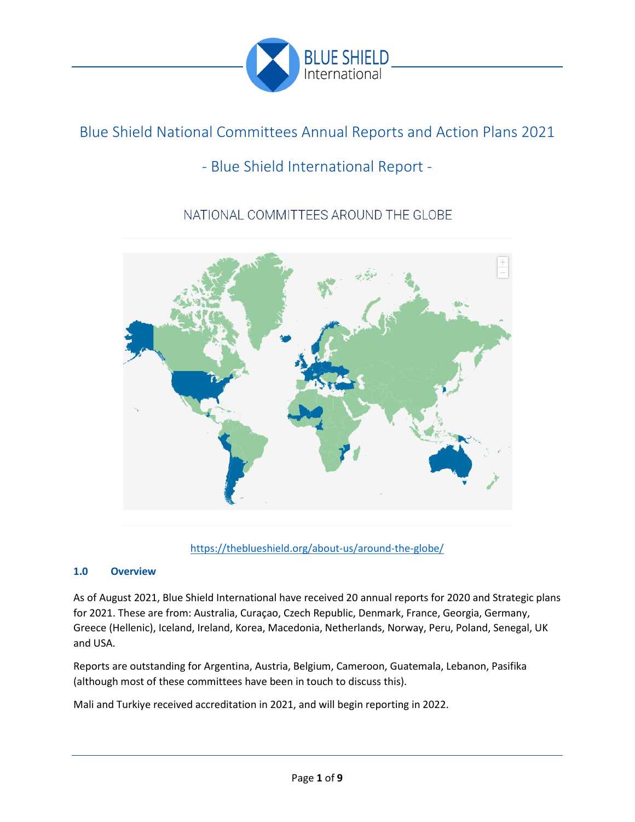

# Blue Shield National Committees Annual Reports and Action Plans 2021

# - Blue Shield International Report -

# NATIONAL COMMITTEES AROUND THE GLOBE



<https://theblueshield.org/about-us/around-the-globe/>

# **1.0 Overview**

As of August 2021, Blue Shield International have received 20 annual reports for 2020 and Strategic plans for 2021. These are from: Australia, Curaçao, Czech Republic, Denmark, France, Georgia, Germany, Greece (Hellenic), Iceland, Ireland, Korea, Macedonia, Netherlands, Norway, Peru, Poland, Senegal, UK and USA.

Reports are outstanding for Argentina, Austria, Belgium, Cameroon, Guatemala, Lebanon, Pasifika (although most of these committees have been in touch to discuss this).

Mali and Turkiye received accreditation in 2021, and will begin reporting in 2022.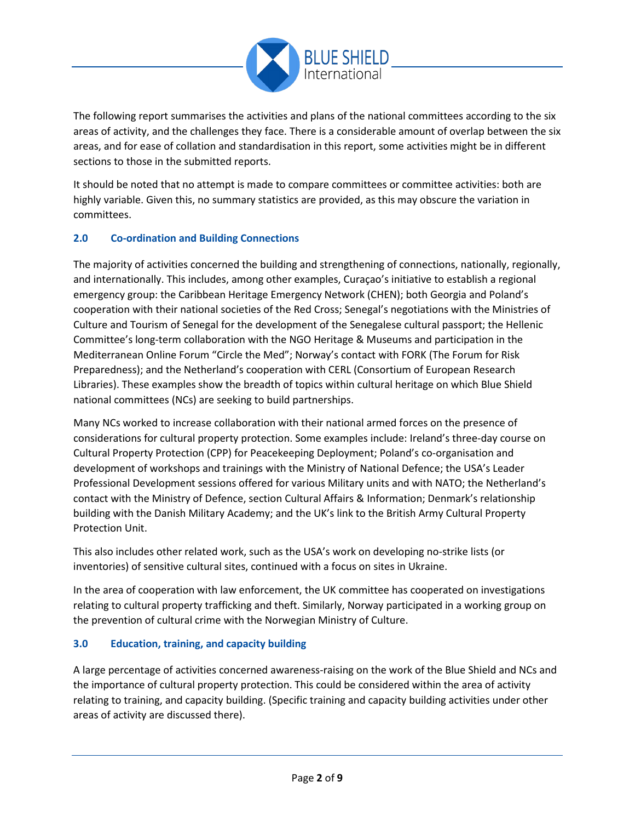

The following report summarises the activities and plans of the national committees according to the six areas of activity, and the challenges they face. There is a considerable amount of overlap between the six areas, and for ease of collation and standardisation in this report, some activities might be in different sections to those in the submitted reports.

It should be noted that no attempt is made to compare committees or committee activities: both are highly variable. Given this, no summary statistics are provided, as this may obscure the variation in committees.

# **2.0 Co-ordination and Building Connections**

The majority of activities concerned the building and strengthening of connections, nationally, regionally, and internationally. This includes, among other examples, Curaçao's initiative to establish a regional emergency group: the Caribbean Heritage Emergency Network (CHEN); both Georgia and Poland's cooperation with their national societies of the Red Cross; Senegal's negotiations with the Ministries of Culture and Tourism of Senegal for the development of the Senegalese cultural passport; the Hellenic Committee's long-term collaboration with the NGO Heritage & Museums and participation in the Mediterranean Online Forum "Circle the Med"; Norway's contact with FORK (The Forum for Risk Preparedness); and the Netherland's cooperation with CERL (Consortium of European Research Libraries). These examples show the breadth of topics within cultural heritage on which Blue Shield national committees (NCs) are seeking to build partnerships.

Many NCs worked to increase collaboration with their national armed forces on the presence of considerations for cultural property protection. Some examples include: Ireland's three-day course on Cultural Property Protection (CPP) for Peacekeeping Deployment; Poland's co-organisation and development of workshops and trainings with the Ministry of National Defence; the USA's Leader Professional Development sessions offered for various Military units and with NATO; the Netherland's contact with the Ministry of Defence, section Cultural Affairs & Information; Denmark's relationship building with the Danish Military Academy; and the UK's link to the British Army Cultural Property Protection Unit.

This also includes other related work, such as the USA's work on developing no-strike lists (or inventories) of sensitive cultural sites, continued with a focus on sites in Ukraine.

In the area of cooperation with law enforcement, the UK committee has cooperated on investigations relating to cultural property trafficking and theft. Similarly, Norway participated in a working group on the prevention of cultural crime with the Norwegian Ministry of Culture.

# **3.0 Education, training, and capacity building**

A large percentage of activities concerned awareness-raising on the work of the Blue Shield and NCs and the importance of cultural property protection. This could be considered within the area of activity relating to training, and capacity building. (Specific training and capacity building activities under other areas of activity are discussed there).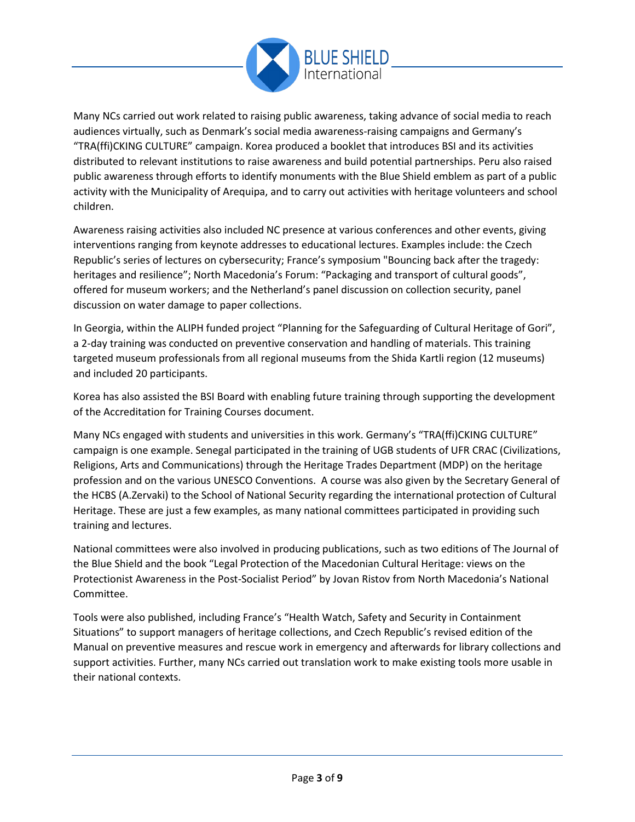

Many NCs carried out work related to raising public awareness, taking advance of social media to reach audiences virtually, such as Denmark's social media awareness-raising campaigns and Germany's "TRA(ffi)CKING CULTURE" campaign. Korea produced a booklet that introduces BSI and its activities distributed to relevant institutions to raise awareness and build potential partnerships. Peru also raised public awareness through efforts to identify monuments with the Blue Shield emblem as part of a public activity with the Municipality of Arequipa, and to carry out activities with heritage volunteers and school children.

Awareness raising activities also included NC presence at various conferences and other events, giving interventions ranging from keynote addresses to educational lectures. Examples include: the Czech Republic's series of lectures on cybersecurity; France's symposium "Bouncing back after the tragedy: heritages and resilience"; North Macedonia's Forum: "Packaging and transport of cultural goods", offered for museum workers; and the Netherland's panel discussion on collection security, panel discussion on water damage to paper collections.

In Georgia, within the ALIPH funded project "Planning for the Safeguarding of Cultural Heritage of Gori", a 2-day training was conducted on preventive conservation and handling of materials. This training targeted museum professionals from all regional museums from the Shida Kartli region (12 museums) and included 20 participants.

Korea has also assisted the BSI Board with enabling future training through supporting the development of the Accreditation for Training Courses document.

Many NCs engaged with students and universities in this work. Germany's "TRA(ffi)CKING CULTURE" campaign is one example. Senegal participated in the training of UGB students of UFR CRAC (Civilizations, Religions, Arts and Communications) through the Heritage Trades Department (MDP) on the heritage profession and on the various UNESCO Conventions. A course was also given by the Secretary General of the HCBS (A.Zervaki) to the School of National Security regarding the international protection of Cultural Heritage. These are just a few examples, as many national committees participated in providing such training and lectures.

National committees were also involved in producing publications, such as two editions of The Journal of the Blue Shield and the book "Legal Protection of the Macedonian Cultural Heritage: views on the Protectionist Awareness in the Post-Socialist Period" by Jovan Ristov from North Macedonia's National Committee.

Tools were also published, including France's "Health Watch, Safety and Security in Containment Situations" to support managers of heritage collections, and Czech Republic's revised edition of the Manual on preventive measures and rescue work in emergency and afterwards for library collections and support activities. Further, many NCs carried out translation work to make existing tools more usable in their national contexts.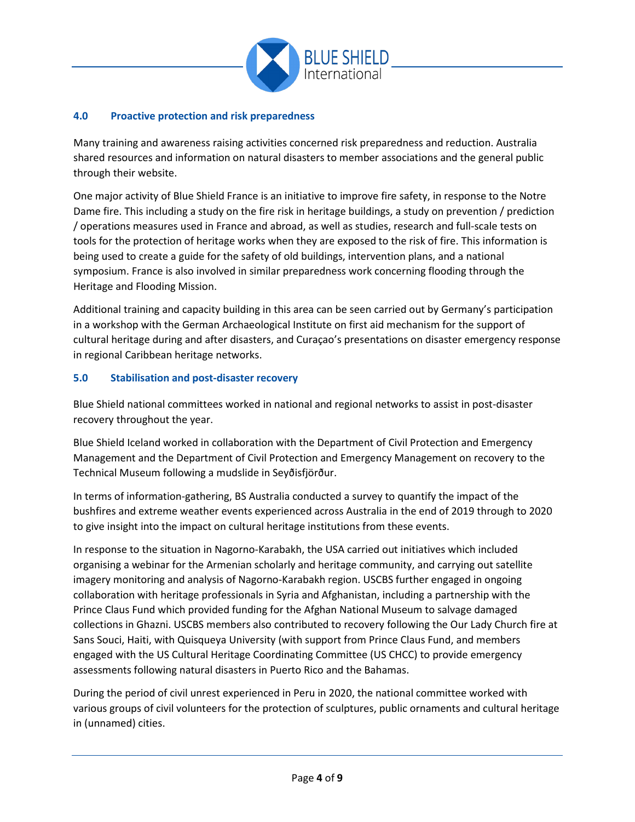

### **4.0 Proactive protection and risk preparedness**

Many training and awareness raising activities concerned risk preparedness and reduction. Australia shared resources and information on natural disasters to member associations and the general public through their website.

One major activity of Blue Shield France is an initiative to improve fire safety, in response to the Notre Dame fire. This including a study on the fire risk in heritage buildings, a study on prevention / prediction / operations measures used in France and abroad, as well as studies, research and full-scale tests on tools for the protection of heritage works when they are exposed to the risk of fire. This information is being used to create a guide for the safety of old buildings, intervention plans, and a national symposium. France is also involved in similar preparedness work concerning flooding through the Heritage and Flooding Mission.

Additional training and capacity building in this area can be seen carried out by Germany's participation in a workshop with the German Archaeological Institute on first aid mechanism for the support of cultural heritage during and after disasters, and Curaçao's presentations on disaster emergency response in regional Caribbean heritage networks.

#### **5.0 Stabilisation and post-disaster recovery**

Blue Shield national committees worked in national and regional networks to assist in post-disaster recovery throughout the year.

Blue Shield Iceland worked in collaboration with the Department of Civil Protection and Emergency Management and the Department of Civil Protection and Emergency Management on recovery to the Technical Museum following a mudslide in Seyðisfjörður.

In terms of information-gathering, BS Australia conducted a survey to quantify the impact of the bushfires and extreme weather events experienced across Australia in the end of 2019 through to 2020 to give insight into the impact on cultural heritage institutions from these events.

In response to the situation in Nagorno-Karabakh, the USA carried out initiatives which included organising a webinar for the Armenian scholarly and heritage community, and carrying out satellite imagery monitoring and analysis of Nagorno-Karabakh region. USCBS further engaged in ongoing collaboration with heritage professionals in Syria and Afghanistan, including a partnership with the Prince Claus Fund which provided funding for the Afghan National Museum to salvage damaged collections in Ghazni. USCBS members also contributed to recovery following the Our Lady Church fire at Sans Souci, Haiti, with Quisqueya University (with support from Prince Claus Fund, and members engaged with the US Cultural Heritage Coordinating Committee (US CHCC) to provide emergency assessments following natural disasters in Puerto Rico and the Bahamas.

During the period of civil unrest experienced in Peru in 2020, the national committee worked with various groups of civil volunteers for the protection of sculptures, public ornaments and cultural heritage in (unnamed) cities.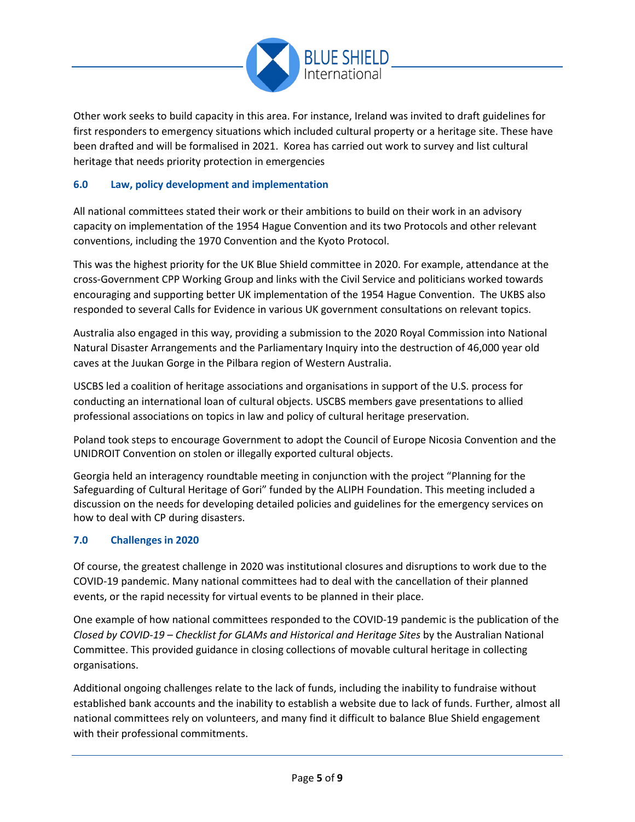

Other work seeks to build capacity in this area. For instance, Ireland was invited to draft guidelines for first responders to emergency situations which included cultural property or a heritage site. These have been drafted and will be formalised in 2021. Korea has carried out work to survey and list cultural heritage that needs priority protection in emergencies

# **6.0 Law, policy development and implementation**

All national committees stated their work or their ambitions to build on their work in an advisory capacity on implementation of the 1954 Hague Convention and its two Protocols and other relevant conventions, including the 1970 Convention and the Kyoto Protocol.

This was the highest priority for the UK Blue Shield committee in 2020. For example, attendance at the cross-Government CPP Working Group and links with the Civil Service and politicians worked towards encouraging and supporting better UK implementation of the 1954 Hague Convention. The UKBS also responded to several Calls for Evidence in various UK government consultations on relevant topics.

Australia also engaged in this way, providing a submission to the 2020 Royal Commission into National Natural Disaster Arrangements and the Parliamentary Inquiry into the destruction of 46,000 year old caves at the Juukan Gorge in the Pilbara region of Western Australia.

USCBS led a coalition of heritage associations and organisations in support of the U.S. process for conducting an international loan of cultural objects. USCBS members gave presentations to allied professional associations on topics in law and policy of cultural heritage preservation.

Poland took steps to encourage Government to adopt the Council of Europe Nicosia Convention and the UNIDROIT Convention on stolen or illegally exported cultural objects.

Georgia held an interagency roundtable meeting in conjunction with the project "Planning for the Safeguarding of Cultural Heritage of Gori" funded by the ALIPH Foundation. This meeting included a discussion on the needs for developing detailed policies and guidelines for the emergency services on how to deal with CP during disasters.

#### **7.0 Challenges in 2020**

Of course, the greatest challenge in 2020 was institutional closures and disruptions to work due to the COVID-19 pandemic. Many national committees had to deal with the cancellation of their planned events, or the rapid necessity for virtual events to be planned in their place.

One example of how national committees responded to the COVID-19 pandemic is the publication of the *Closed by COVID-19 – Checklist for GLAMs and Historical and Heritage Sites* by the Australian National Committee. This provided guidance in closing collections of movable cultural heritage in collecting organisations.

Additional ongoing challenges relate to the lack of funds, including the inability to fundraise without established bank accounts and the inability to establish a website due to lack of funds. Further, almost all national committees rely on volunteers, and many find it difficult to balance Blue Shield engagement with their professional commitments.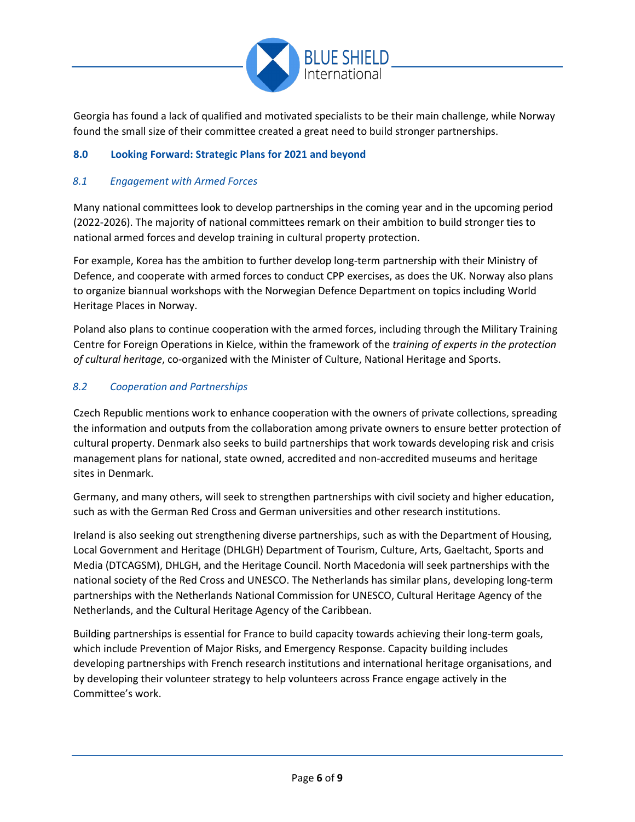

Georgia has found a lack of qualified and motivated specialists to be their main challenge, while Norway found the small size of their committee created a great need to build stronger partnerships.

# **8.0 Looking Forward: Strategic Plans for 2021 and beyond**

### *8.1 Engagement with Armed Forces*

Many national committees look to develop partnerships in the coming year and in the upcoming period (2022-2026). The majority of national committees remark on their ambition to build stronger ties to national armed forces and develop training in cultural property protection.

For example, Korea has the ambition to further develop long-term partnership with their Ministry of Defence, and cooperate with armed forces to conduct CPP exercises, as does the UK. Norway also plans to organize biannual workshops with the Norwegian Defence Department on topics including World Heritage Places in Norway.

Poland also plans to continue cooperation with the armed forces, including through the Military Training Centre for Foreign Operations in Kielce, within the framework of the *training of experts in the protection of cultural heritage*, co-organized with the Minister of Culture, National Heritage and Sports.

#### *8.2 Cooperation and Partnerships*

Czech Republic mentions work to enhance cooperation with the owners of private collections, spreading the information and outputs from the collaboration among private owners to ensure better protection of cultural property. Denmark also seeks to build partnerships that work towards developing risk and crisis management plans for national, state owned, accredited and non-accredited museums and heritage sites in Denmark.

Germany, and many others, will seek to strengthen partnerships with civil society and higher education, such as with the German Red Cross and German universities and other research institutions.

Ireland is also seeking out strengthening diverse partnerships, such as with the Department of Housing, Local Government and Heritage (DHLGH) Department of Tourism, Culture, Arts, Gaeltacht, Sports and Media (DTCAGSM), DHLGH, and the Heritage Council. North Macedonia will seek partnerships with the national society of the Red Cross and UNESCO. The Netherlands has similar plans, developing long-term partnerships with the Netherlands National Commission for UNESCO, Cultural Heritage Agency of the Netherlands, and the Cultural Heritage Agency of the Caribbean.

Building partnerships is essential for France to build capacity towards achieving their long-term goals, which include Prevention of Major Risks, and Emergency Response. Capacity building includes developing partnerships with French research institutions and international heritage organisations, and by developing their volunteer strategy to help volunteers across France engage actively in the Committee's work.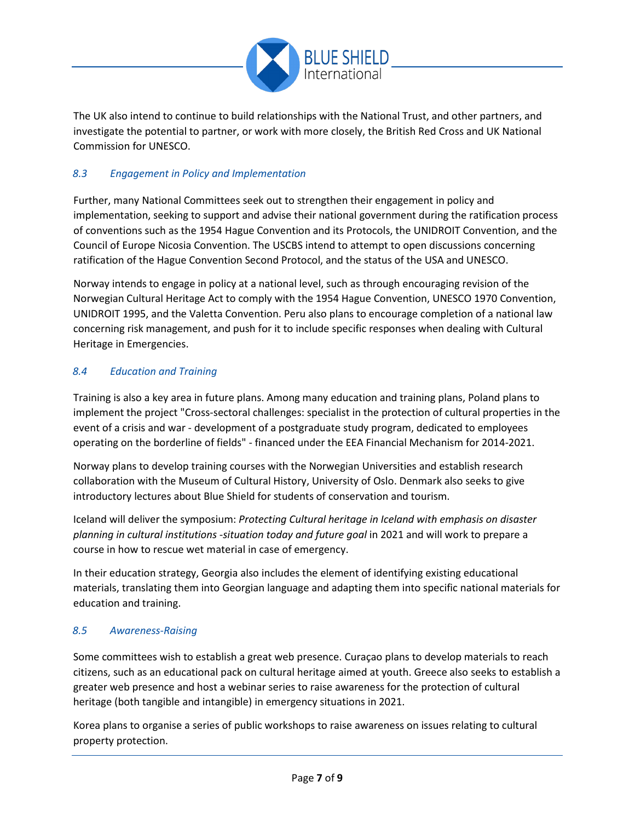

The UK also intend to continue to build relationships with the National Trust, and other partners, and investigate the potential to partner, or work with more closely, the British Red Cross and UK National Commission for UNESCO.

# *8.3 Engagement in Policy and Implementation*

Further, many National Committees seek out to strengthen their engagement in policy and implementation, seeking to support and advise their national government during the ratification process of conventions such as the 1954 Hague Convention and its Protocols, the UNIDROIT Convention, and the Council of Europe Nicosia Convention. The USCBS intend to attempt to open discussions concerning ratification of the Hague Convention Second Protocol, and the status of the USA and UNESCO.

Norway intends to engage in policy at a national level, such as through encouraging revision of the Norwegian Cultural Heritage Act to comply with the 1954 Hague Convention, UNESCO 1970 Convention, UNIDROIT 1995, and the Valetta Convention. Peru also plans to encourage completion of a national law concerning risk management, and push for it to include specific responses when dealing with Cultural Heritage in Emergencies.

# *8.4 Education and Training*

Training is also a key area in future plans. Among many education and training plans, Poland plans to implement the project "Cross-sectoral challenges: specialist in the protection of cultural properties in the event of a crisis and war - development of a postgraduate study program, dedicated to employees operating on the borderline of fields" - financed under the EEA Financial Mechanism for 2014-2021.

Norway plans to develop training courses with the Norwegian Universities and establish research collaboration with the Museum of Cultural History, University of Oslo. Denmark also seeks to give introductory lectures about Blue Shield for students of conservation and tourism.

Iceland will deliver the symposium: *Protecting Cultural heritage in Iceland with emphasis on disaster planning in cultural institutions -situation today and future goal* in 2021 and will work to prepare a course in how to rescue wet material in case of emergency.

In their education strategy, Georgia also includes the element of identifying existing educational materials, translating them into Georgian language and adapting them into specific national materials for education and training.

# *8.5 Awareness-Raising*

Some committees wish to establish a great web presence. Curaçao plans to develop materials to reach citizens, such as an educational pack on cultural heritage aimed at youth. Greece also seeks to establish a greater web presence and host a webinar series to raise awareness for the protection of cultural heritage (both tangible and intangible) in emergency situations in 2021.

Korea plans to organise a series of public workshops to raise awareness on issues relating to cultural property protection.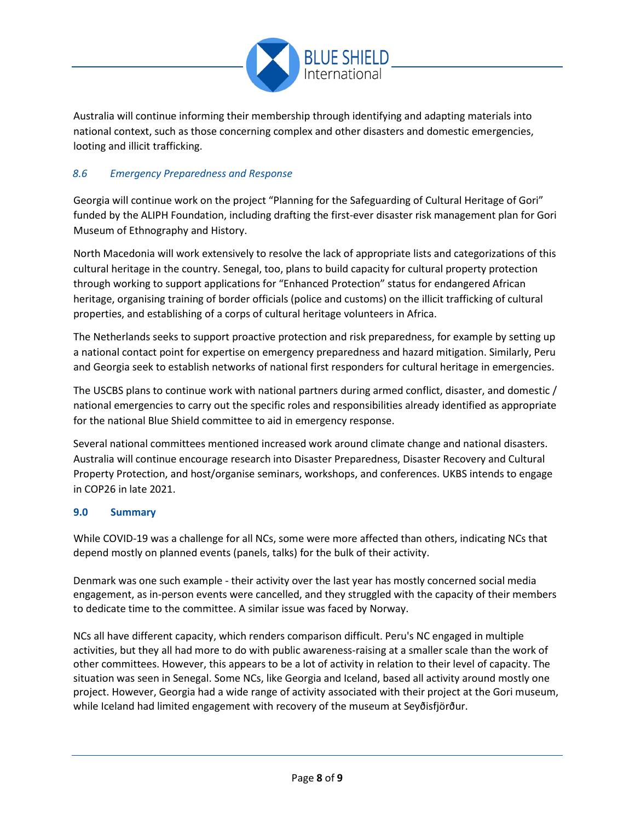

Australia will continue informing their membership through identifying and adapting materials into national context, such as those concerning complex and other disasters and domestic emergencies, looting and illicit trafficking.

# *8.6 Emergency Preparedness and Response*

Georgia will continue work on the project "Planning for the Safeguarding of Cultural Heritage of Gori" funded by the ALIPH Foundation, including drafting the first-ever disaster risk management plan for Gori Museum of Ethnography and History.

North Macedonia will work extensively to resolve the lack of appropriate lists and categorizations of this cultural heritage in the country. Senegal, too, plans to build capacity for cultural property protection through working to support applications for "Enhanced Protection" status for endangered African heritage, organising training of border officials (police and customs) on the illicit trafficking of cultural properties, and establishing of a corps of cultural heritage volunteers in Africa.

The Netherlands seeks to support proactive protection and risk preparedness, for example by setting up a national contact point for expertise on emergency preparedness and hazard mitigation. Similarly, Peru and Georgia seek to establish networks of national first responders for cultural heritage in emergencies.

The USCBS plans to continue work with national partners during armed conflict, disaster, and domestic / national emergencies to carry out the specific roles and responsibilities already identified as appropriate for the national Blue Shield committee to aid in emergency response.

Several national committees mentioned increased work around climate change and national disasters. Australia will continue encourage research into Disaster Preparedness, Disaster Recovery and Cultural Property Protection, and host/organise seminars, workshops, and conferences. UKBS intends to engage in COP26 in late 2021.

# **9.0 Summary**

While COVID-19 was a challenge for all NCs, some were more affected than others, indicating NCs that depend mostly on planned events (panels, talks) for the bulk of their activity.

Denmark was one such example - their activity over the last year has mostly concerned social media engagement, as in-person events were cancelled, and they struggled with the capacity of their members to dedicate time to the committee. A similar issue was faced by Norway.

NCs all have different capacity, which renders comparison difficult. Peru's NC engaged in multiple activities, but they all had more to do with public awareness-raising at a smaller scale than the work of other committees. However, this appears to be a lot of activity in relation to their level of capacity. The situation was seen in Senegal. Some NCs, like Georgia and Iceland, based all activity around mostly one project. However, Georgia had a wide range of activity associated with their project at the Gori museum, while Iceland had limited engagement with recovery of the museum at Seyðisfjörður.